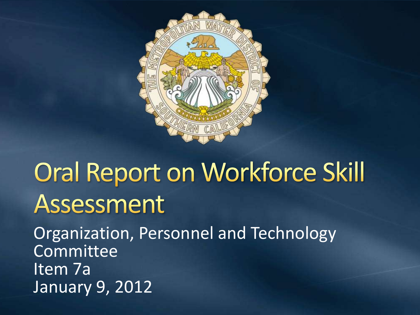

# **Oral Report on Workforce Skill** Assessment

Organization, Personnel and Technology Committee Item 7a January 9, 2012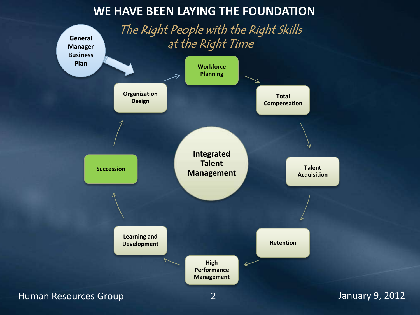#### **WE HAVE BEEN LAYING THE FOUNDATION**

The Right People with the Right Skills at the Right Time

**General** 

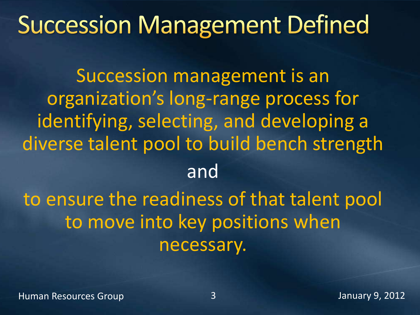### **Succession Management Defined**

Succession management is an organization's long-range process for identifying, selecting, and developing a diverse talent pool to build bench strength and

to ensure the readiness of that talent pool to move into key positions when necessary.

Human Resources Group 3 January 9, 2012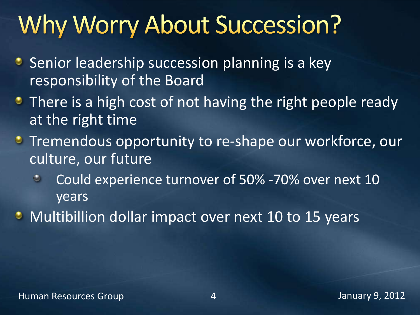### Why Worry About Succession?

- **Senior leadership succession planning is a key** responsibility of the Board
- **There is a high cost of not having the right people ready** at the right time
- **Tremendous opportunity to re-shape our workforce, our** culture, our future
	- Could experience turnover of 50% -70% over next 10  $\bullet$ years
- **Multibillion dollar impact over next 10 to 15 years**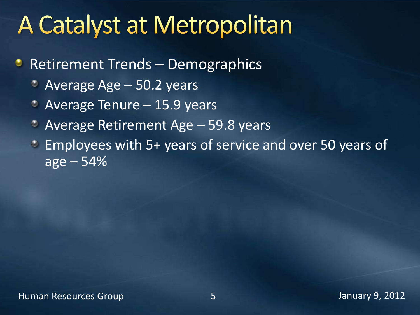### **A Catalyst at Metropolitan**

- **Retirement Trends Demographics** 
	- Average Age 50.2 years  $\circ$
	- Average Tenure 15.9 years
	- Average Retirement Age 59.8 years  $\bullet$
	- Employees with 5+ years of service and over 50 years of  $\bullet$  $age - 54%$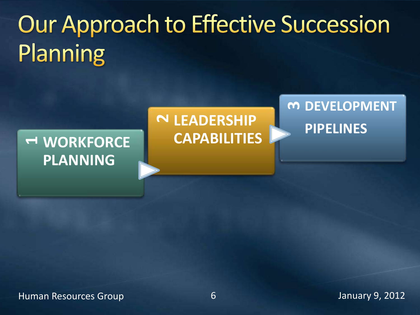# Our Approach to Effective Succession Planning

#### **<sup>1</sup>WORKFORCE PLANNING**

#### **<sup>2</sup>LEADERSHIP CAPABILITIES**

### **<sup>3</sup>DEVELOPMENT PIPELINES**

Human Resources Group 6 January 9, 2012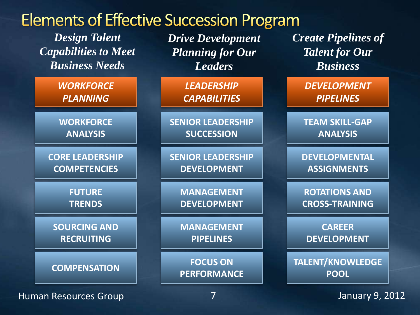

Human Resources Group 7 7 January 9, 2012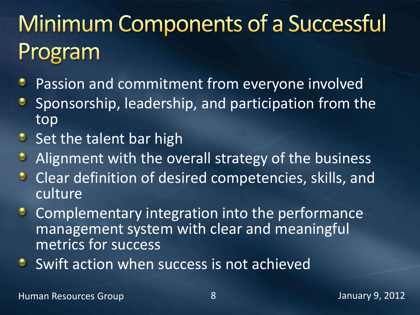## **Minimum Components of a Successful** Program

- Passion and commitment from everyone involved ٠
- Sponsorship, leadership, and participation from the ٠ top
- $\bullet$  Set the talent bar high
- $\bullet$ Alignment with the overall strategy of the business
- $\bullet$ Clear definition of desired competencies, skills, and culture
- $\bullet$ Complementary integration into the performance management system with clear and meaningful metrics for success
- Swift action when success is not achieved $\bullet$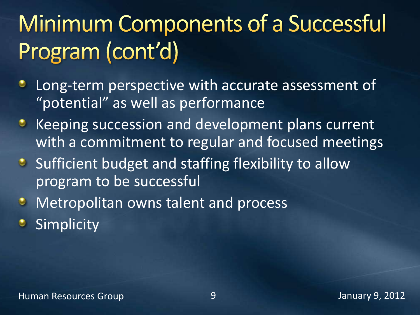### **Minimum Components of a Successful** Program (cont'd)

- Long-term perspective with accurate assessment of ٠ "potential" as well as performance
- **Keeping succession and development plans current** with a commitment to regular and focused meetings
- Sufficient budget and staffing flexibility to allow program to be successful
- Metropolitan owns talent and process  $\bullet$
- **Simplicity**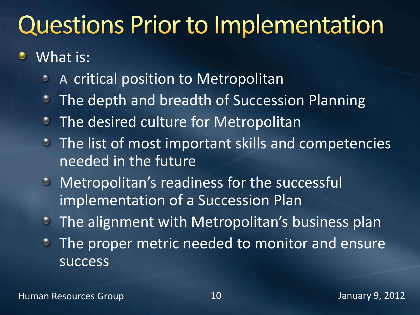### **Questions Prior to Implementation**

- ٠ What is:
	- A critical position to Metropolitan ٥
	- The depth and breadth of Succession Planning  $\bullet$
	- The desired culture for Metropolitan  $\bullet$
	- **The list of most important skills and competencies** needed in the future
	- **Metropolitan's readiness for the successfull** implementation of a Succession Plan
	- The alignment with Metropolitan's business plan
	- The proper metric needed to monitor and ensure ٠ success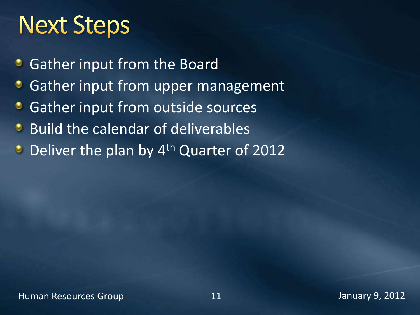### **Next Steps**

- **Gather input from the Board**
- Gather input from upper management
- Gather input from outside sources ۰
- **Build the calendar of deliverables**
- **Deliver the plan by 4th Quarter of 2012**